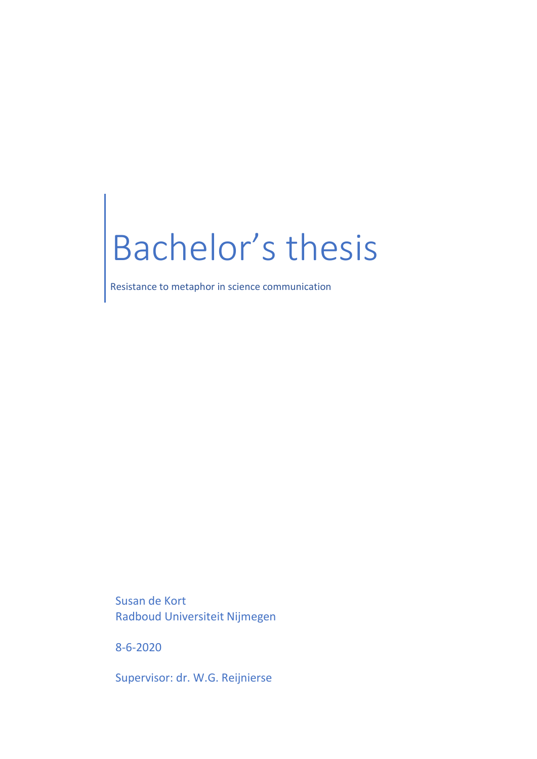# Bachelor's thesis

Resistance to metaphor in science communication

Susan de Kort Radboud Universiteit Nijmegen

8-6-2020

Supervisor: dr. W.G. Reijnierse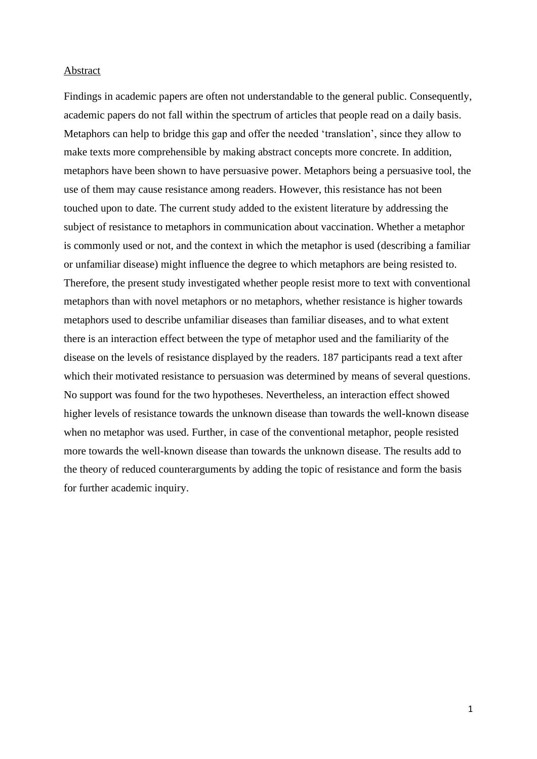#### Abstract

Findings in academic papers are often not understandable to the general public. Consequently, academic papers do not fall within the spectrum of articles that people read on a daily basis. Metaphors can help to bridge this gap and offer the needed 'translation', since they allow to make texts more comprehensible by making abstract concepts more concrete. In addition, metaphors have been shown to have persuasive power. Metaphors being a persuasive tool, the use of them may cause resistance among readers. However, this resistance has not been touched upon to date. The current study added to the existent literature by addressing the subject of resistance to metaphors in communication about vaccination. Whether a metaphor is commonly used or not, and the context in which the metaphor is used (describing a familiar or unfamiliar disease) might influence the degree to which metaphors are being resisted to. Therefore, the present study investigated whether people resist more to text with conventional metaphors than with novel metaphors or no metaphors, whether resistance is higher towards metaphors used to describe unfamiliar diseases than familiar diseases, and to what extent there is an interaction effect between the type of metaphor used and the familiarity of the disease on the levels of resistance displayed by the readers. 187 participants read a text after which their motivated resistance to persuasion was determined by means of several questions. No support was found for the two hypotheses. Nevertheless, an interaction effect showed higher levels of resistance towards the unknown disease than towards the well-known disease when no metaphor was used. Further, in case of the conventional metaphor, people resisted more towards the well-known disease than towards the unknown disease. The results add to the theory of reduced counterarguments by adding the topic of resistance and form the basis for further academic inquiry.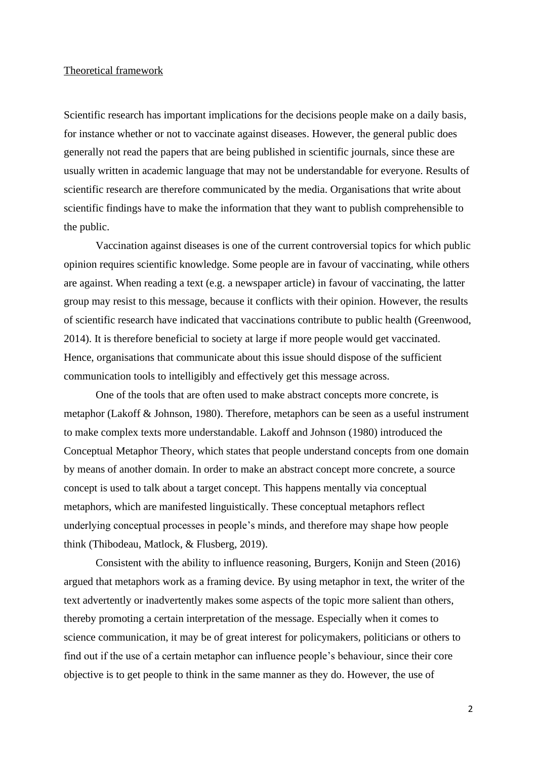#### Theoretical framework

Scientific research has important implications for the decisions people make on a daily basis, for instance whether or not to vaccinate against diseases. However, the general public does generally not read the papers that are being published in scientific journals, since these are usually written in academic language that may not be understandable for everyone. Results of scientific research are therefore communicated by the media. Organisations that write about scientific findings have to make the information that they want to publish comprehensible to the public.

Vaccination against diseases is one of the current controversial topics for which public opinion requires scientific knowledge. Some people are in favour of vaccinating, while others are against. When reading a text (e.g. a newspaper article) in favour of vaccinating, the latter group may resist to this message, because it conflicts with their opinion. However, the results of scientific research have indicated that vaccinations contribute to public health (Greenwood, 2014). It is therefore beneficial to society at large if more people would get vaccinated. Hence, organisations that communicate about this issue should dispose of the sufficient communication tools to intelligibly and effectively get this message across.

One of the tools that are often used to make abstract concepts more concrete, is metaphor (Lakoff & Johnson, 1980). Therefore, metaphors can be seen as a useful instrument to make complex texts more understandable. Lakoff and Johnson (1980) introduced the Conceptual Metaphor Theory, which states that people understand concepts from one domain by means of another domain. In order to make an abstract concept more concrete, a source concept is used to talk about a target concept. This happens mentally via conceptual metaphors, which are manifested linguistically. These conceptual metaphors reflect underlying conceptual processes in people's minds, and therefore may shape how people think (Thibodeau, Matlock, & Flusberg, 2019).

Consistent with the ability to influence reasoning, Burgers, Konijn and Steen (2016) argued that metaphors work as a framing device. By using metaphor in text, the writer of the text advertently or inadvertently makes some aspects of the topic more salient than others, thereby promoting a certain interpretation of the message. Especially when it comes to science communication, it may be of great interest for policymakers, politicians or others to find out if the use of a certain metaphor can influence people's behaviour, since their core objective is to get people to think in the same manner as they do. However, the use of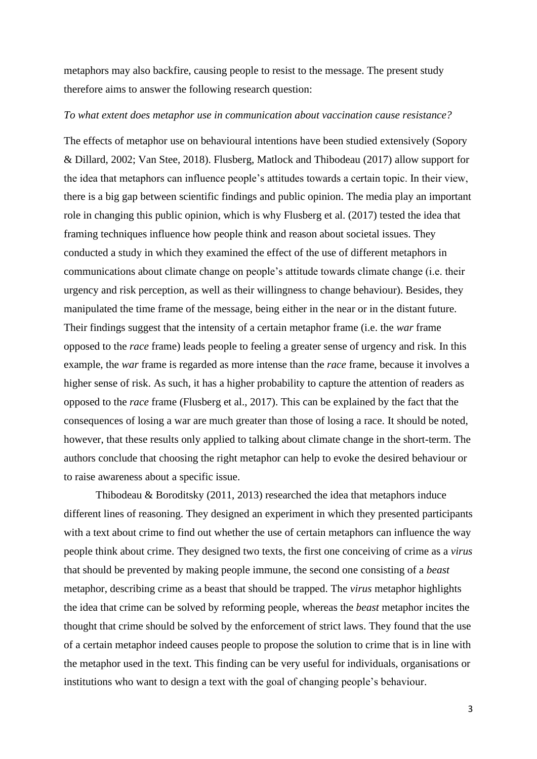metaphors may also backfire, causing people to resist to the message. The present study therefore aims to answer the following research question:

# *To what extent does metaphor use in communication about vaccination cause resistance?*

The effects of metaphor use on behavioural intentions have been studied extensively (Sopory & Dillard, 2002; Van Stee, 2018). Flusberg, Matlock and Thibodeau (2017) allow support for the idea that metaphors can influence people's attitudes towards a certain topic. In their view, there is a big gap between scientific findings and public opinion. The media play an important role in changing this public opinion, which is why Flusberg et al. (2017) tested the idea that framing techniques influence how people think and reason about societal issues. They conducted a study in which they examined the effect of the use of different metaphors in communications about climate change on people's attitude towards climate change (i.e. their urgency and risk perception, as well as their willingness to change behaviour). Besides, they manipulated the time frame of the message, being either in the near or in the distant future. Their findings suggest that the intensity of a certain metaphor frame (i.e. the *war* frame opposed to the *race* frame) leads people to feeling a greater sense of urgency and risk. In this example, the *war* frame is regarded as more intense than the *race* frame, because it involves a higher sense of risk. As such, it has a higher probability to capture the attention of readers as opposed to the *race* frame (Flusberg et al., 2017). This can be explained by the fact that the consequences of losing a war are much greater than those of losing a race. It should be noted, however, that these results only applied to talking about climate change in the short-term. The authors conclude that choosing the right metaphor can help to evoke the desired behaviour or to raise awareness about a specific issue.

Thibodeau & Boroditsky (2011, 2013) researched the idea that metaphors induce different lines of reasoning. They designed an experiment in which they presented participants with a text about crime to find out whether the use of certain metaphors can influence the way people think about crime. They designed two texts, the first one conceiving of crime as a *virus* that should be prevented by making people immune, the second one consisting of a *beast* metaphor, describing crime as a beast that should be trapped. The *virus* metaphor highlights the idea that crime can be solved by reforming people, whereas the *beast* metaphor incites the thought that crime should be solved by the enforcement of strict laws. They found that the use of a certain metaphor indeed causes people to propose the solution to crime that is in line with the metaphor used in the text. This finding can be very useful for individuals, organisations or institutions who want to design a text with the goal of changing people's behaviour.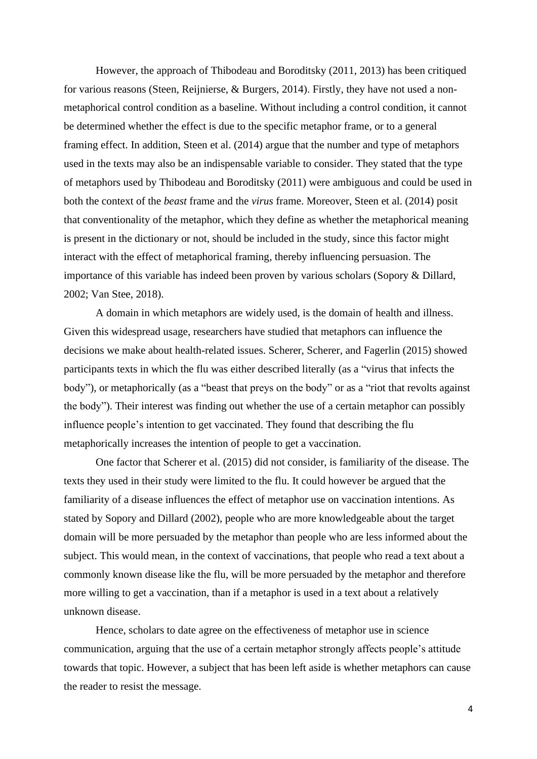However, the approach of Thibodeau and Boroditsky (2011, 2013) has been critiqued for various reasons (Steen, Reijnierse, & Burgers, 2014). Firstly, they have not used a nonmetaphorical control condition as a baseline. Without including a control condition, it cannot be determined whether the effect is due to the specific metaphor frame, or to a general framing effect. In addition, Steen et al. (2014) argue that the number and type of metaphors used in the texts may also be an indispensable variable to consider. They stated that the type of metaphors used by Thibodeau and Boroditsky (2011) were ambiguous and could be used in both the context of the *beast* frame and the *virus* frame. Moreover, Steen et al. (2014) posit that conventionality of the metaphor, which they define as whether the metaphorical meaning is present in the dictionary or not, should be included in the study, since this factor might interact with the effect of metaphorical framing, thereby influencing persuasion. The importance of this variable has indeed been proven by various scholars (Sopory & Dillard, 2002; Van Stee, 2018).

A domain in which metaphors are widely used, is the domain of health and illness. Given this widespread usage, researchers have studied that metaphors can influence the decisions we make about health-related issues. Scherer, Scherer, and Fagerlin (2015) showed participants texts in which the flu was either described literally (as a "virus that infects the body"), or metaphorically (as a "beast that preys on the body" or as a "riot that revolts against the body"). Their interest was finding out whether the use of a certain metaphor can possibly influence people's intention to get vaccinated. They found that describing the flu metaphorically increases the intention of people to get a vaccination.

One factor that Scherer et al. (2015) did not consider, is familiarity of the disease. The texts they used in their study were limited to the flu. It could however be argued that the familiarity of a disease influences the effect of metaphor use on vaccination intentions. As stated by Sopory and Dillard (2002), people who are more knowledgeable about the target domain will be more persuaded by the metaphor than people who are less informed about the subject. This would mean, in the context of vaccinations, that people who read a text about a commonly known disease like the flu, will be more persuaded by the metaphor and therefore more willing to get a vaccination, than if a metaphor is used in a text about a relatively unknown disease.

Hence, scholars to date agree on the effectiveness of metaphor use in science communication, arguing that the use of a certain metaphor strongly affects people's attitude towards that topic. However, a subject that has been left aside is whether metaphors can cause the reader to resist the message.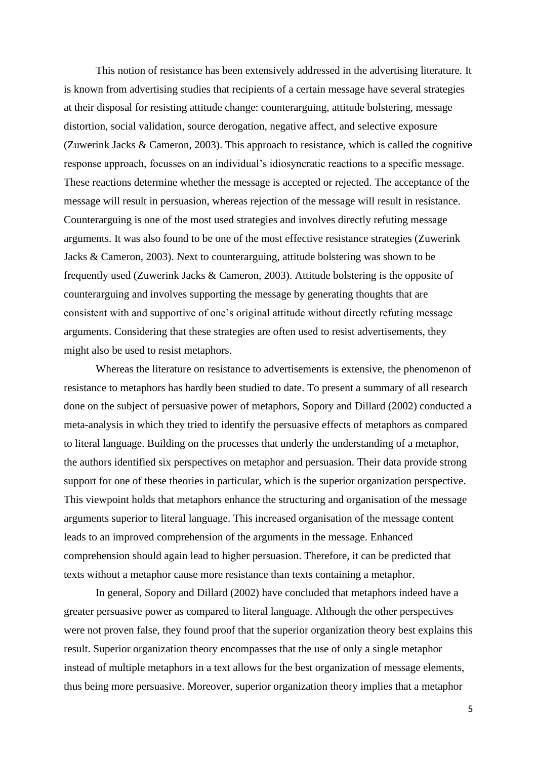This notion of resistance has been extensively addressed in the advertising literature. It is known from advertising studies that recipients of a certain message have several strategies at their disposal for resisting attitude change: counterarguing, attitude bolstering, message distortion, social validation, source derogation, negative affect, and selective exposure (Zuwerink Jacks & Cameron, 2003). This approach to resistance, which is called the cognitive response approach, focusses on an individual's idiosyncratic reactions to a specific message. These reactions determine whether the message is accepted or rejected. The acceptance of the message will result in persuasion, whereas rejection of the message will result in resistance. Counterarguing is one of the most used strategies and involves directly refuting message arguments. It was also found to be one of the most effective resistance strategies (Zuwerink Jacks & Cameron, 2003). Next to counterarguing, attitude bolstering was shown to be frequently used (Zuwerink Jacks & Cameron, 2003). Attitude bolstering is the opposite of counterarguing and involves supporting the message by generating thoughts that are consistent with and supportive of one's original attitude without directly refuting message arguments. Considering that these strategies are often used to resist advertisements, they might also be used to resist metaphors.

Whereas the literature on resistance to advertisements is extensive, the phenomenon of resistance to metaphors has hardly been studied to date. To present a summary of all research done on the subject of persuasive power of metaphors, Sopory and Dillard (2002) conducted a meta-analysis in which they tried to identify the persuasive effects of metaphors as compared to literal language. Building on the processes that underly the understanding of a metaphor, the authors identified six perspectives on metaphor and persuasion. Their data provide strong support for one of these theories in particular, which is the superior organization perspective. This viewpoint holds that metaphors enhance the structuring and organisation of the message arguments superior to literal language. This increased organisation of the message content leads to an improved comprehension of the arguments in the message. Enhanced comprehension should again lead to higher persuasion. Therefore, it can be predicted that texts without a metaphor cause more resistance than texts containing a metaphor.

In general, Sopory and Dillard (2002) have concluded that metaphors indeed have a greater persuasive power as compared to literal language. Although the other perspectives were not proven false, they found proof that the superior organization theory best explains this result. Superior organization theory encompasses that the use of only a single metaphor instead of multiple metaphors in a text allows for the best organization of message elements, thus being more persuasive. Moreover, superior organization theory implies that a metaphor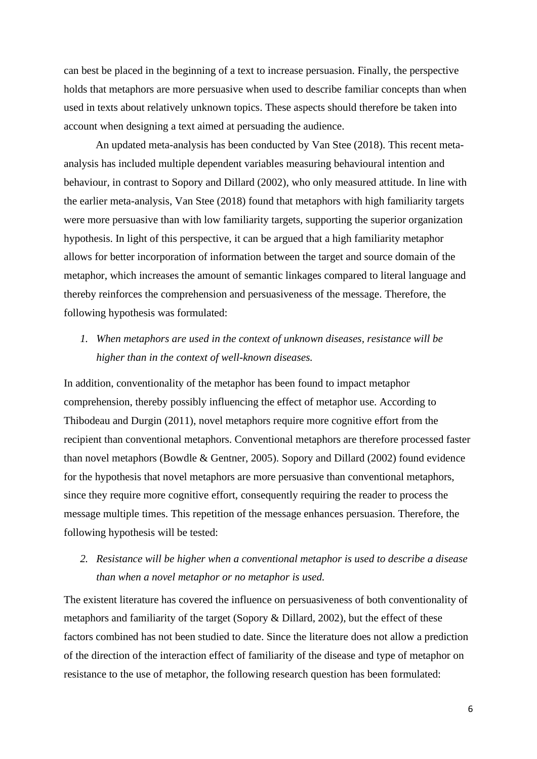can best be placed in the beginning of a text to increase persuasion. Finally, the perspective holds that metaphors are more persuasive when used to describe familiar concepts than when used in texts about relatively unknown topics. These aspects should therefore be taken into account when designing a text aimed at persuading the audience.

An updated meta-analysis has been conducted by Van Stee (2018). This recent metaanalysis has included multiple dependent variables measuring behavioural intention and behaviour, in contrast to Sopory and Dillard (2002), who only measured attitude. In line with the earlier meta-analysis, Van Stee (2018) found that metaphors with high familiarity targets were more persuasive than with low familiarity targets, supporting the superior organization hypothesis. In light of this perspective, it can be argued that a high familiarity metaphor allows for better incorporation of information between the target and source domain of the metaphor, which increases the amount of semantic linkages compared to literal language and thereby reinforces the comprehension and persuasiveness of the message. Therefore, the following hypothesis was formulated:

*1. When metaphors are used in the context of unknown diseases, resistance will be higher than in the context of well-known diseases.* 

In addition, conventionality of the metaphor has been found to impact metaphor comprehension, thereby possibly influencing the effect of metaphor use. According to Thibodeau and Durgin (2011), novel metaphors require more cognitive effort from the recipient than conventional metaphors. Conventional metaphors are therefore processed faster than novel metaphors (Bowdle & Gentner, 2005). Sopory and Dillard (2002) found evidence for the hypothesis that novel metaphors are more persuasive than conventional metaphors, since they require more cognitive effort, consequently requiring the reader to process the message multiple times. This repetition of the message enhances persuasion. Therefore, the following hypothesis will be tested:

*2. Resistance will be higher when a conventional metaphor is used to describe a disease than when a novel metaphor or no metaphor is used.*

The existent literature has covered the influence on persuasiveness of both conventionality of metaphors and familiarity of the target (Sopory & Dillard, 2002), but the effect of these factors combined has not been studied to date. Since the literature does not allow a prediction of the direction of the interaction effect of familiarity of the disease and type of metaphor on resistance to the use of metaphor, the following research question has been formulated: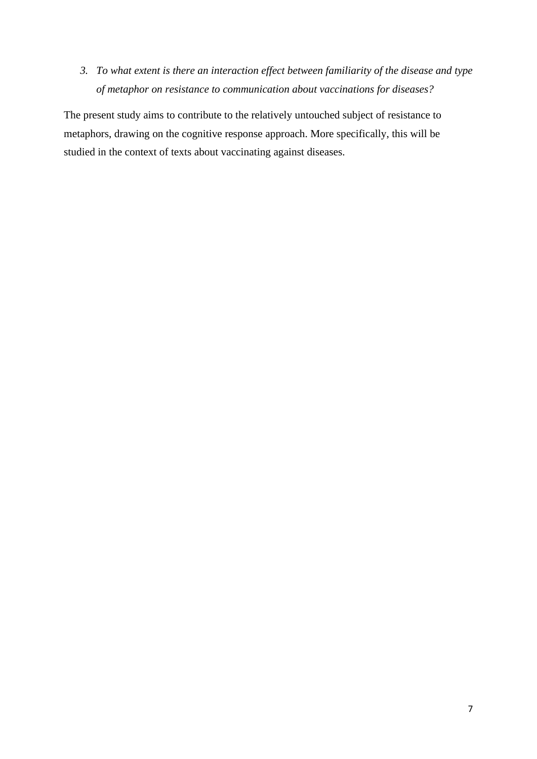*3. To what extent is there an interaction effect between familiarity of the disease and type of metaphor on resistance to communication about vaccinations for diseases?*

The present study aims to contribute to the relatively untouched subject of resistance to metaphors, drawing on the cognitive response approach. More specifically, this will be studied in the context of texts about vaccinating against diseases.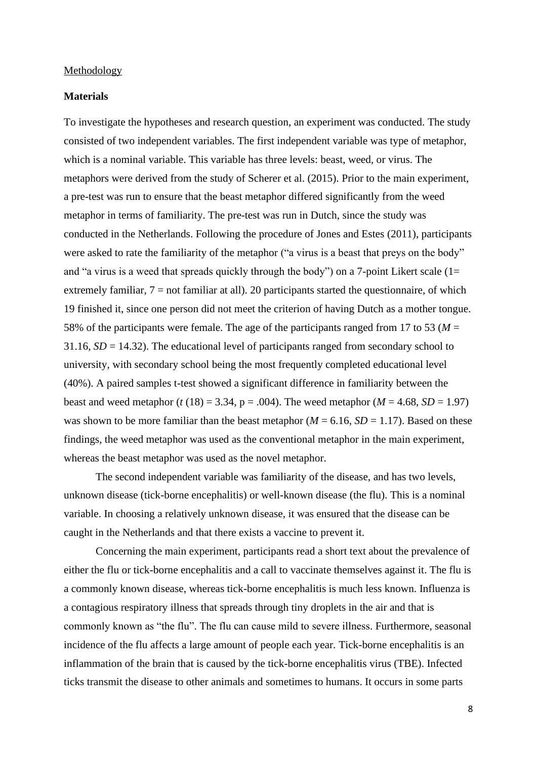#### Methodology

# **Materials**

To investigate the hypotheses and research question, an experiment was conducted. The study consisted of two independent variables. The first independent variable was type of metaphor, which is a nominal variable. This variable has three levels: beast, weed, or virus. The metaphors were derived from the study of Scherer et al. (2015). Prior to the main experiment, a pre-test was run to ensure that the beast metaphor differed significantly from the weed metaphor in terms of familiarity. The pre-test was run in Dutch, since the study was conducted in the Netherlands. Following the procedure of Jones and Estes (2011), participants were asked to rate the familiarity of the metaphor ("a virus is a beast that preys on the body" and "a virus is a weed that spreads quickly through the body") on a 7-point Likert scale  $(1=$ extremely familiar, 7 = not familiar at all). 20 participants started the questionnaire, of which 19 finished it, since one person did not meet the criterion of having Dutch as a mother tongue. 58% of the participants were female. The age of the participants ranged from 17 to 53 (*M* = 31.16, *SD* = 14.32). The educational level of participants ranged from secondary school to university, with secondary school being the most frequently completed educational level (40%). A paired samples t-test showed a significant difference in familiarity between the beast and weed metaphor ( $t$  (18) = 3.34, p = .004). The weed metaphor ( $M = 4.68$ ,  $SD = 1.97$ ) was shown to be more familiar than the beast metaphor ( $M = 6.16$ ,  $SD = 1.17$ ). Based on these findings, the weed metaphor was used as the conventional metaphor in the main experiment, whereas the beast metaphor was used as the novel metaphor.

The second independent variable was familiarity of the disease, and has two levels, unknown disease (tick-borne encephalitis) or well-known disease (the flu). This is a nominal variable. In choosing a relatively unknown disease, it was ensured that the disease can be caught in the Netherlands and that there exists a vaccine to prevent it.

Concerning the main experiment, participants read a short text about the prevalence of either the flu or tick-borne encephalitis and a call to vaccinate themselves against it. The flu is a commonly known disease, whereas tick-borne encephalitis is much less known. Influenza is a contagious respiratory illness that spreads through tiny droplets in the air and that is commonly known as "the flu". The flu can cause mild to severe illness. Furthermore, seasonal incidence of the flu affects a large amount of people each year. Tick-borne encephalitis is an inflammation of the brain that is caused by the tick-borne encephalitis virus (TBE). Infected ticks transmit the disease to other animals and sometimes to humans. It occurs in some parts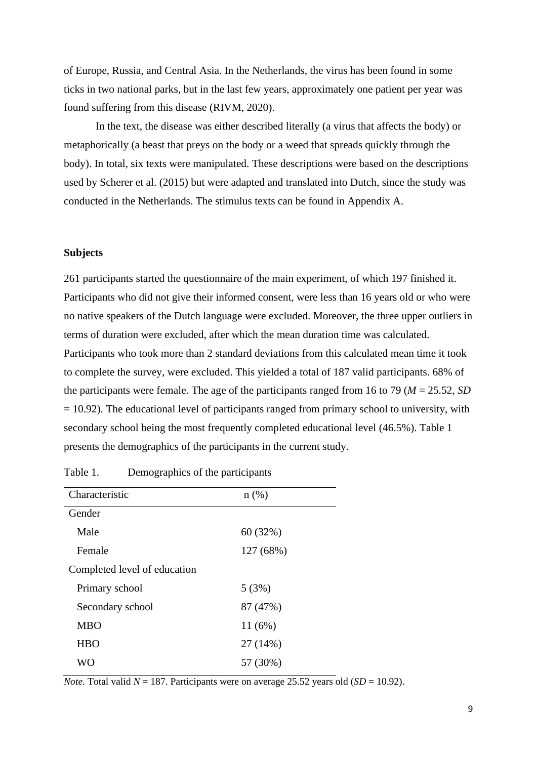of Europe, Russia, and Central Asia. In the Netherlands, the virus has been found in some ticks in two national parks, but in the last few years, approximately one patient per year was found suffering from this disease (RIVM, 2020).

In the text, the disease was either described literally (a virus that affects the body) or metaphorically (a beast that preys on the body or a weed that spreads quickly through the body). In total, six texts were manipulated. These descriptions were based on the descriptions used by Scherer et al. (2015) but were adapted and translated into Dutch, since the study was conducted in the Netherlands. The stimulus texts can be found in Appendix A.

#### **Subjects**

261 participants started the questionnaire of the main experiment, of which 197 finished it. Participants who did not give their informed consent, were less than 16 years old or who were no native speakers of the Dutch language were excluded. Moreover, the three upper outliers in terms of duration were excluded, after which the mean duration time was calculated. Participants who took more than 2 standard deviations from this calculated mean time it took to complete the survey, were excluded. This yielded a total of 187 valid participants. 68% of the participants were female. The age of the participants ranged from 16 to 79 (*M* = 25.52, *SD*  $= 10.92$ ). The educational level of participants ranged from primary school to university, with secondary school being the most frequently completed educational level (46.5%). Table 1 presents the demographics of the participants in the current study.

| Characteristic               | $n$ (%)   |
|------------------------------|-----------|
|                              |           |
| Gender                       |           |
| Male                         | 60 (32%)  |
| Female                       | 127 (68%) |
| Completed level of education |           |
| Primary school               | 5(3%)     |
| Secondary school             | 87 (47%)  |
| <b>MBO</b>                   | 11(6%)    |
| <b>HBO</b>                   | 27 (14%)  |
| <b>WO</b>                    | 57 (30%)  |

Table 1. Demographics of the participants

*Note.* Total valid  $N = 187$ . Participants were on average 25.52 years old (*SD* = 10.92).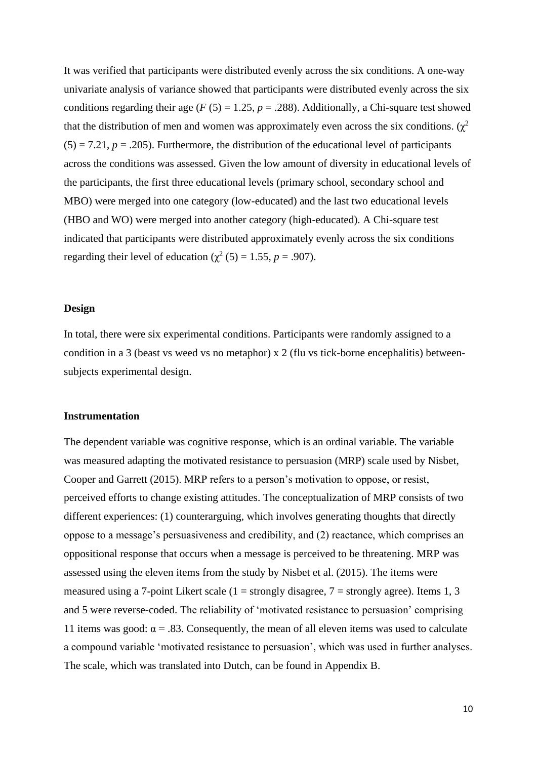It was verified that participants were distributed evenly across the six conditions. A one-way univariate analysis of variance showed that participants were distributed evenly across the six conditions regarding their age ( $F(5) = 1.25$ ,  $p = .288$ ). Additionally, a Chi-square test showed that the distribution of men and women was approximately even across the six conditions.  $(\chi^2)$  $(5) = 7.21$ ,  $p = .205$ ). Furthermore, the distribution of the educational level of participants across the conditions was assessed. Given the low amount of diversity in educational levels of the participants, the first three educational levels (primary school, secondary school and MBO) were merged into one category (low-educated) and the last two educational levels (HBO and WO) were merged into another category (high-educated). A Chi-square test indicated that participants were distributed approximately evenly across the six conditions regarding their level of education ( $\chi^2$  (5) = 1.55, *p* = .907).

#### **Design**

In total, there were six experimental conditions. Participants were randomly assigned to a condition in a 3 (beast vs weed vs no metaphor) x 2 (flu vs tick-borne encephalitis) betweensubjects experimental design.

#### **Instrumentation**

The dependent variable was cognitive response, which is an ordinal variable. The variable was measured adapting the motivated resistance to persuasion (MRP) scale used by Nisbet, Cooper and Garrett (2015). MRP refers to a person's motivation to oppose, or resist, perceived efforts to change existing attitudes. The conceptualization of MRP consists of two different experiences: (1) counterarguing, which involves generating thoughts that directly oppose to a message's persuasiveness and credibility, and (2) reactance, which comprises an oppositional response that occurs when a message is perceived to be threatening. MRP was assessed using the eleven items from the study by Nisbet et al. (2015). The items were measured using a 7-point Likert scale  $(1 =$  strongly disagree,  $7 =$  strongly agree). Items 1, 3 and 5 were reverse-coded. The reliability of 'motivated resistance to persuasion' comprising 11 items was good:  $\alpha$  = .83. Consequently, the mean of all eleven items was used to calculate a compound variable 'motivated resistance to persuasion', which was used in further analyses. The scale, which was translated into Dutch, can be found in Appendix B.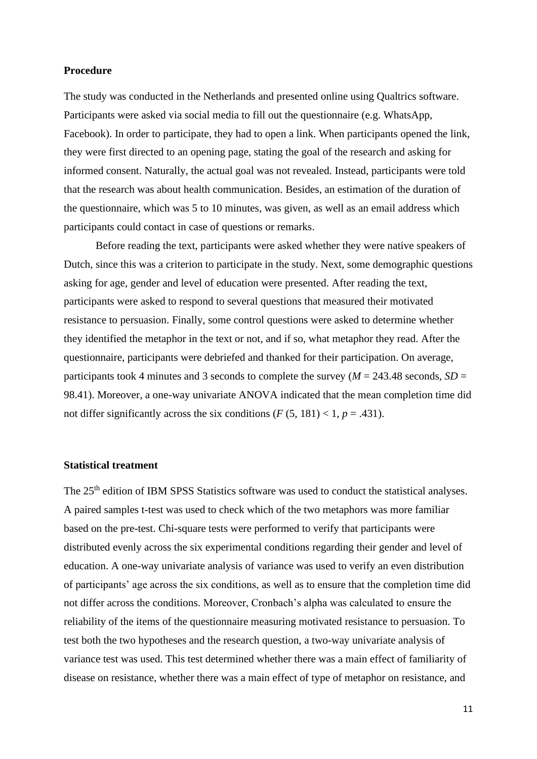#### **Procedure**

The study was conducted in the Netherlands and presented online using Qualtrics software. Participants were asked via social media to fill out the questionnaire (e.g. WhatsApp, Facebook). In order to participate, they had to open a link. When participants opened the link, they were first directed to an opening page, stating the goal of the research and asking for informed consent. Naturally, the actual goal was not revealed. Instead, participants were told that the research was about health communication. Besides, an estimation of the duration of the questionnaire, which was 5 to 10 minutes, was given, as well as an email address which participants could contact in case of questions or remarks.

Before reading the text, participants were asked whether they were native speakers of Dutch, since this was a criterion to participate in the study. Next, some demographic questions asking for age, gender and level of education were presented. After reading the text, participants were asked to respond to several questions that measured their motivated resistance to persuasion. Finally, some control questions were asked to determine whether they identified the metaphor in the text or not, and if so, what metaphor they read. After the questionnaire, participants were debriefed and thanked for their participation. On average, participants took 4 minutes and 3 seconds to complete the survey ( $M = 243.48$  seconds,  $SD =$ 98.41). Moreover, a one-way univariate ANOVA indicated that the mean completion time did not differ significantly across the six conditions  $(F (5, 181) < 1, p = .431)$ .

#### **Statistical treatment**

The 25<sup>th</sup> edition of IBM SPSS Statistics software was used to conduct the statistical analyses. A paired samples t-test was used to check which of the two metaphors was more familiar based on the pre-test. Chi-square tests were performed to verify that participants were distributed evenly across the six experimental conditions regarding their gender and level of education. A one-way univariate analysis of variance was used to verify an even distribution of participants' age across the six conditions, as well as to ensure that the completion time did not differ across the conditions. Moreover, Cronbach's alpha was calculated to ensure the reliability of the items of the questionnaire measuring motivated resistance to persuasion. To test both the two hypotheses and the research question, a two-way univariate analysis of variance test was used. This test determined whether there was a main effect of familiarity of disease on resistance, whether there was a main effect of type of metaphor on resistance, and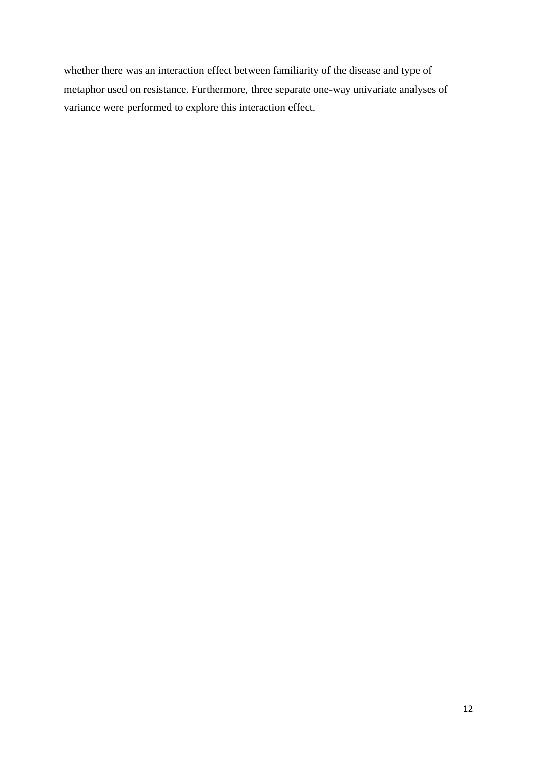whether there was an interaction effect between familiarity of the disease and type of metaphor used on resistance. Furthermore, three separate one-way univariate analyses of variance were performed to explore this interaction effect.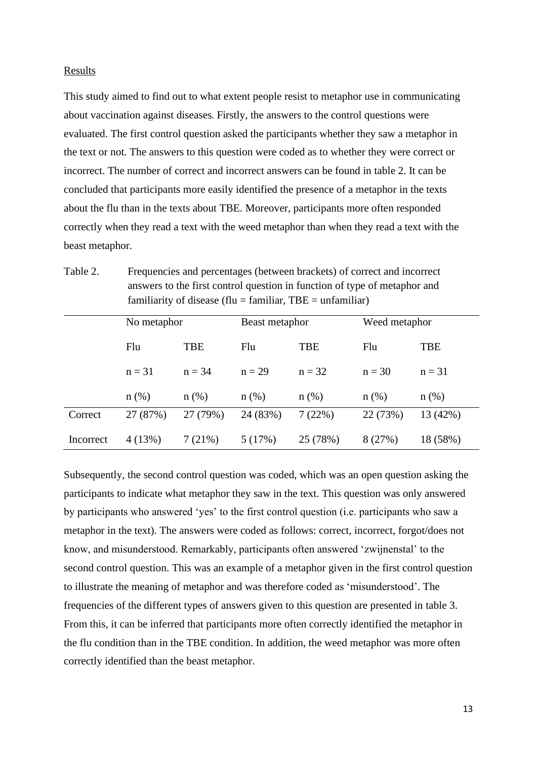#### Results

This study aimed to find out to what extent people resist to metaphor use in communicating about vaccination against diseases*.* Firstly, the answers to the control questions were evaluated. The first control question asked the participants whether they saw a metaphor in the text or not. The answers to this question were coded as to whether they were correct or incorrect. The number of correct and incorrect answers can be found in table 2. It can be concluded that participants more easily identified the presence of a metaphor in the texts about the flu than in the texts about TBE. Moreover, participants more often responded correctly when they read a text with the weed metaphor than when they read a text with the beast metaphor.

Table 2. Frequencies and percentages (between brackets) of correct and incorrect answers to the first control question in function of type of metaphor and familiarity of disease (flu = familiar,  $TBE = \text{unfamiliar}$ )

|           | No metaphor |            | Beast metaphor |            | Weed metaphor |          |
|-----------|-------------|------------|----------------|------------|---------------|----------|
|           | Flu         | <b>TBE</b> | Flu            | <b>TBE</b> | Flu           | TBE      |
|           | $n = 31$    | $n = 34$   | $n = 29$       | $n = 32$   | $n = 30$      | $n = 31$ |
|           | $n$ (%)     | $n$ (%)    | $n$ (%)        | $n$ (%)    | $n$ (%)       | $n(\%)$  |
| Correct   | 27 (87%)    | 27 (79%)   | 24 (83%)       | 7(22%)     | 22 (73%)      | 13 (42%) |
| Incorrect | 4(13%)      | 7(21%)     | 5(17%)         | 25 (78%)   | 8(27%)        | 18 (58%) |

Subsequently, the second control question was coded, which was an open question asking the participants to indicate what metaphor they saw in the text. This question was only answered by participants who answered 'yes' to the first control question (i.e. participants who saw a metaphor in the text). The answers were coded as follows: correct, incorrect, forgot/does not know, and misunderstood. Remarkably, participants often answered 'zwijnenstal' to the second control question. This was an example of a metaphor given in the first control question to illustrate the meaning of metaphor and was therefore coded as 'misunderstood'. The frequencies of the different types of answers given to this question are presented in table 3. From this, it can be inferred that participants more often correctly identified the metaphor in the flu condition than in the TBE condition. In addition, the weed metaphor was more often correctly identified than the beast metaphor.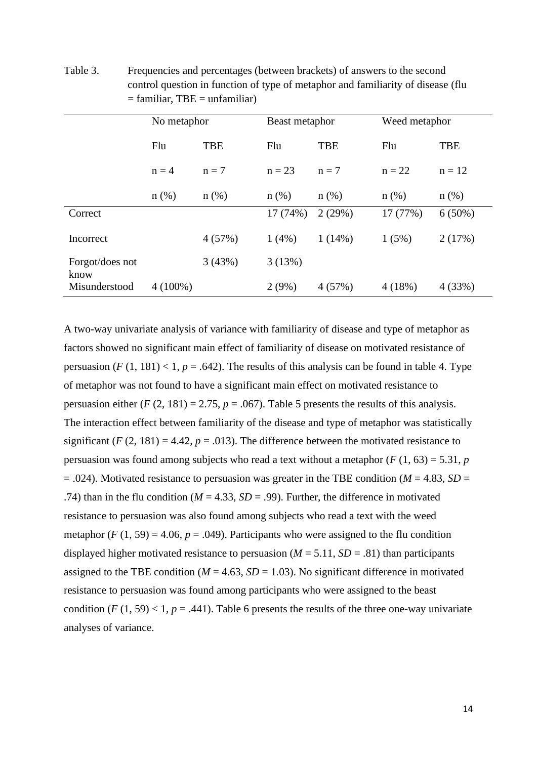Table 3. Frequencies and percentages (between brackets) of answers to the second control question in function of type of metaphor and familiarity of disease (flu  $=$  familiar, TBE  $=$  unfamiliar)

|                         | No metaphor |            | Beast metaphor |            | Weed metaphor |            |
|-------------------------|-------------|------------|----------------|------------|---------------|------------|
|                         |             |            |                |            |               |            |
|                         | Flu         | <b>TBE</b> | Flu            | <b>TBE</b> | Flu           | <b>TBE</b> |
|                         | $n = 4$     | $n = 7$    | $n = 23$       | $n = 7$    | $n = 22$      | $n = 12$   |
|                         | $n$ (%)     | $n$ (%)    | $n$ (%)        | $n$ (%)    | $n$ (%)       | $n$ (%)    |
| Correct                 |             |            | 17 (74%)       | 2(29%)     | 17 (77%)      | $6(50\%)$  |
| Incorrect               |             | 4(57%)     | $1(4\%)$       | $1(14\%)$  | 1(5%)         | 2(17%)     |
| Forgot/does not<br>know |             | 3(43%)     | 3(13%)         |            |               |            |
| Misunderstood           | $4(100\%)$  |            | $2(9\%)$       | 4(57%)     | 4(18%)        | 4(33%)     |

A two-way univariate analysis of variance with familiarity of disease and type of metaphor as factors showed no significant main effect of familiarity of disease on motivated resistance of persuasion  $(F(1, 181) < 1, p = .642)$ . The results of this analysis can be found in table 4. Type of metaphor was not found to have a significant main effect on motivated resistance to persuasion either  $(F (2, 181) = 2.75, p = .067)$ . Table 5 presents the results of this analysis. The interaction effect between familiarity of the disease and type of metaphor was statistically significant ( $F(2, 181) = 4.42$ ,  $p = .013$ ). The difference between the motivated resistance to persuasion was found among subjects who read a text without a metaphor  $(F(1, 63) = 5.31, p$  $= .024$ ). Motivated resistance to persuasion was greater in the TBE condition ( $M = 4.83$ ,  $SD =$ .74) than in the flu condition ( $M = 4.33$ ,  $SD = .99$ ). Further, the difference in motivated resistance to persuasion was also found among subjects who read a text with the weed metaphor  $(F (1, 59) = 4.06, p = .049)$ . Participants who were assigned to the flu condition displayed higher motivated resistance to persuasion ( $M = 5.11$ ,  $SD = .81$ ) than participants assigned to the TBE condition ( $M = 4.63$ ,  $SD = 1.03$ ). No significant difference in motivated resistance to persuasion was found among participants who were assigned to the beast condition  $(F(1, 59) < 1, p = .441)$ . Table 6 presents the results of the three one-way univariate analyses of variance.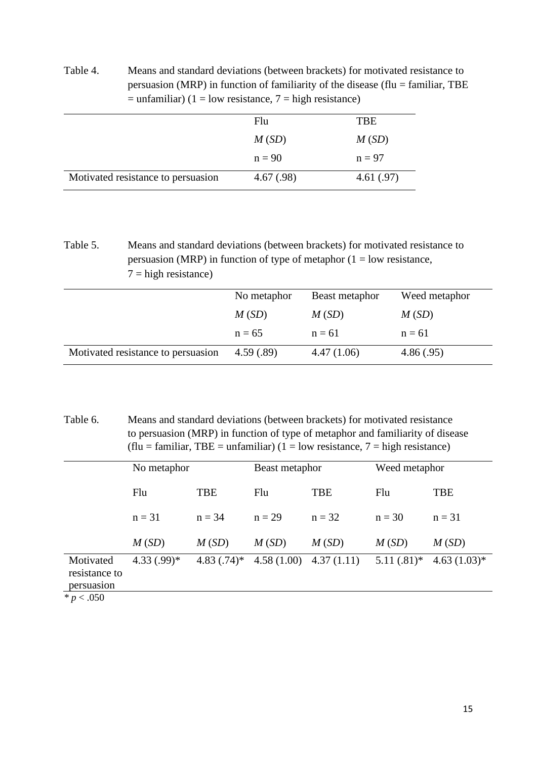| persuasion (MRP) in function of familiarity of the disease (flu $=$ familiar, TBE<br>$=$ unfamiliar) (1 = low resistance, 7 = high resistance) |            |  |
|------------------------------------------------------------------------------------------------------------------------------------------------|------------|--|
| Flu                                                                                                                                            | <b>TBE</b> |  |
| M(SD)                                                                                                                                          | M(SD)      |  |

Table 4. Means and standard deviations (between brackets) for motivated resistance to

|                                    | $n = 90$  | $n = 97$  |
|------------------------------------|-----------|-----------|
| Motivated resistance to persuasion | 4.67(.98) | 4.61(.97) |

Table 5. Means and standard deviations (between brackets) for motivated resistance to persuasion (MRP) in function of type of metaphor  $(1 = low resistance,$  $7 =$ high resistance)

|                                    | No metaphor | Beast metaphor | Weed metaphor |
|------------------------------------|-------------|----------------|---------------|
|                                    | M(SD)       | M(SD)          | M(SD)         |
|                                    | $n = 65$    | $n = 61$       | $n = 61$      |
| Motivated resistance to persuasion | 4.59(.89)   | 4.47(1.06)     | 4.86(.95)     |

Table 6. Means and standard deviations (between brackets) for motivated resistance to persuasion (MRP) in function of type of metaphor and familiarity of disease  $(f\text{lu} = \text{familiar}, \text{TBE} = \text{unfamiliar}) (1 = \text{low resistance}, 7 = \text{high resistance})$ 

|                                          | No metaphor  |              | Beast metaphor |                           | Weed metaphor |               |
|------------------------------------------|--------------|--------------|----------------|---------------------------|---------------|---------------|
|                                          | Flu          | <b>TBE</b>   | Flu            | <b>TBE</b>                | Flu           | <b>TBE</b>    |
|                                          | $n = 31$     | $n = 34$     | $n = 29$       | $n = 32$                  | $n = 30$      | $n = 31$      |
|                                          | M(SD)        | M(SD)        | M(SD)          | M(SD)                     | M(SD)         | M(SD)         |
| Motivated<br>resistance to<br>persuasion | $4.33(.99)*$ | $4.83(.74)*$ |                | $4.58(1.00)$ $4.37(1.11)$ | $5.11(.81)$ * | $4.63(1.03)*$ |
| * $p < .050$                             |              |              |                |                           |               |               |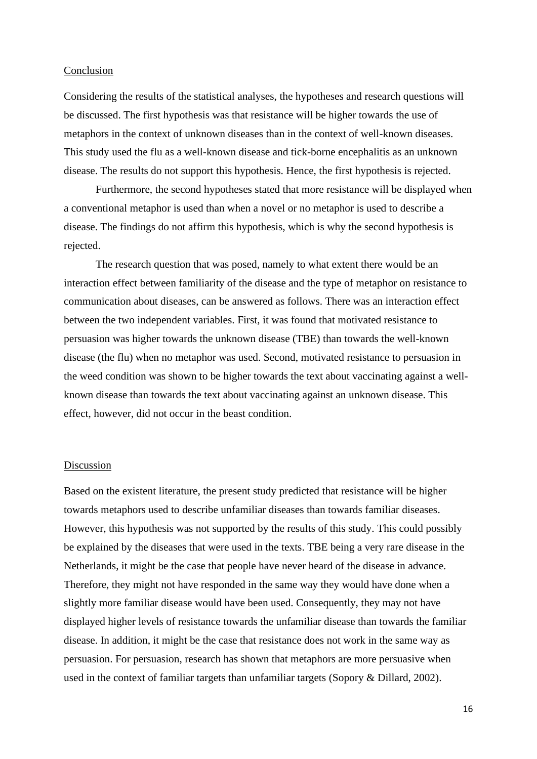#### Conclusion

Considering the results of the statistical analyses, the hypotheses and research questions will be discussed. The first hypothesis was that resistance will be higher towards the use of metaphors in the context of unknown diseases than in the context of well-known diseases. This study used the flu as a well-known disease and tick-borne encephalitis as an unknown disease. The results do not support this hypothesis. Hence, the first hypothesis is rejected.

Furthermore, the second hypotheses stated that more resistance will be displayed when a conventional metaphor is used than when a novel or no metaphor is used to describe a disease. The findings do not affirm this hypothesis, which is why the second hypothesis is rejected.

The research question that was posed, namely to what extent there would be an interaction effect between familiarity of the disease and the type of metaphor on resistance to communication about diseases, can be answered as follows. There was an interaction effect between the two independent variables. First, it was found that motivated resistance to persuasion was higher towards the unknown disease (TBE) than towards the well-known disease (the flu) when no metaphor was used. Second, motivated resistance to persuasion in the weed condition was shown to be higher towards the text about vaccinating against a wellknown disease than towards the text about vaccinating against an unknown disease. This effect, however, did not occur in the beast condition.

#### **Discussion**

Based on the existent literature, the present study predicted that resistance will be higher towards metaphors used to describe unfamiliar diseases than towards familiar diseases. However, this hypothesis was not supported by the results of this study. This could possibly be explained by the diseases that were used in the texts. TBE being a very rare disease in the Netherlands, it might be the case that people have never heard of the disease in advance. Therefore, they might not have responded in the same way they would have done when a slightly more familiar disease would have been used. Consequently, they may not have displayed higher levels of resistance towards the unfamiliar disease than towards the familiar disease. In addition, it might be the case that resistance does not work in the same way as persuasion. For persuasion, research has shown that metaphors are more persuasive when used in the context of familiar targets than unfamiliar targets (Sopory & Dillard, 2002).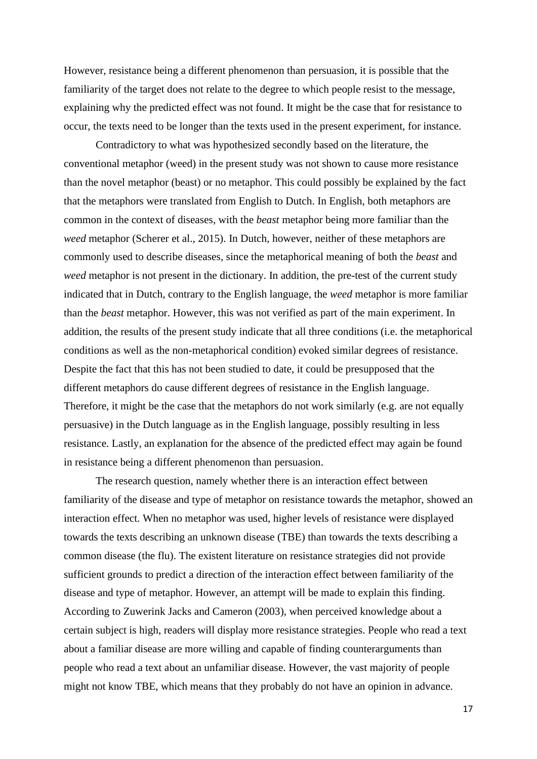However, resistance being a different phenomenon than persuasion, it is possible that the familiarity of the target does not relate to the degree to which people resist to the message, explaining why the predicted effect was not found. It might be the case that for resistance to occur, the texts need to be longer than the texts used in the present experiment, for instance.

Contradictory to what was hypothesized secondly based on the literature, the conventional metaphor (weed) in the present study was not shown to cause more resistance than the novel metaphor (beast) or no metaphor. This could possibly be explained by the fact that the metaphors were translated from English to Dutch. In English, both metaphors are common in the context of diseases, with the *beast* metaphor being more familiar than the *weed* metaphor (Scherer et al., 2015). In Dutch, however, neither of these metaphors are commonly used to describe diseases, since the metaphorical meaning of both the *beast* and *weed* metaphor is not present in the dictionary. In addition, the pre-test of the current study indicated that in Dutch, contrary to the English language, the *weed* metaphor is more familiar than the *beast* metaphor. However, this was not verified as part of the main experiment. In addition, the results of the present study indicate that all three conditions (i.e. the metaphorical conditions as well as the non-metaphorical condition) evoked similar degrees of resistance. Despite the fact that this has not been studied to date, it could be presupposed that the different metaphors do cause different degrees of resistance in the English language. Therefore, it might be the case that the metaphors do not work similarly (e.g. are not equally persuasive) in the Dutch language as in the English language, possibly resulting in less resistance. Lastly, an explanation for the absence of the predicted effect may again be found in resistance being a different phenomenon than persuasion.

The research question, namely whether there is an interaction effect between familiarity of the disease and type of metaphor on resistance towards the metaphor, showed an interaction effect. When no metaphor was used, higher levels of resistance were displayed towards the texts describing an unknown disease (TBE) than towards the texts describing a common disease (the flu). The existent literature on resistance strategies did not provide sufficient grounds to predict a direction of the interaction effect between familiarity of the disease and type of metaphor. However, an attempt will be made to explain this finding. According to Zuwerink Jacks and Cameron (2003), when perceived knowledge about a certain subject is high, readers will display more resistance strategies. People who read a text about a familiar disease are more willing and capable of finding counterarguments than people who read a text about an unfamiliar disease. However, the vast majority of people might not know TBE, which means that they probably do not have an opinion in advance.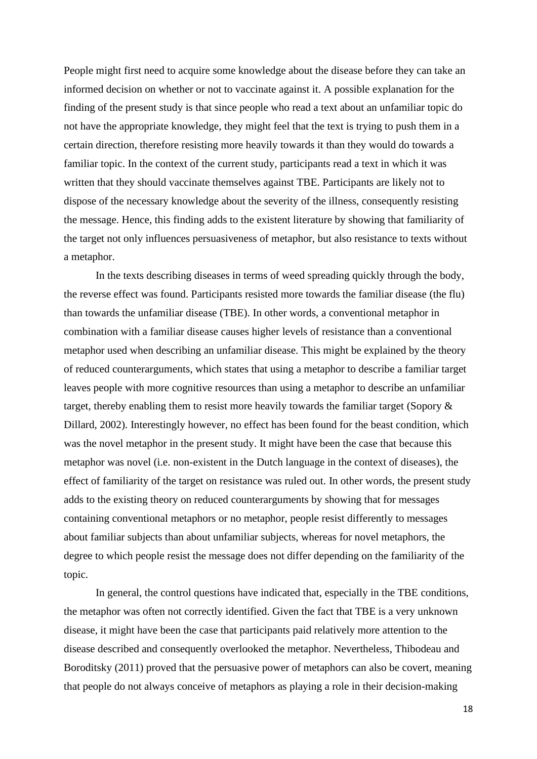People might first need to acquire some knowledge about the disease before they can take an informed decision on whether or not to vaccinate against it. A possible explanation for the finding of the present study is that since people who read a text about an unfamiliar topic do not have the appropriate knowledge, they might feel that the text is trying to push them in a certain direction, therefore resisting more heavily towards it than they would do towards a familiar topic. In the context of the current study, participants read a text in which it was written that they should vaccinate themselves against TBE. Participants are likely not to dispose of the necessary knowledge about the severity of the illness, consequently resisting the message. Hence, this finding adds to the existent literature by showing that familiarity of the target not only influences persuasiveness of metaphor, but also resistance to texts without a metaphor.

In the texts describing diseases in terms of weed spreading quickly through the body, the reverse effect was found. Participants resisted more towards the familiar disease (the flu) than towards the unfamiliar disease (TBE). In other words, a conventional metaphor in combination with a familiar disease causes higher levels of resistance than a conventional metaphor used when describing an unfamiliar disease. This might be explained by the theory of reduced counterarguments, which states that using a metaphor to describe a familiar target leaves people with more cognitive resources than using a metaphor to describe an unfamiliar target, thereby enabling them to resist more heavily towards the familiar target (Sopory & Dillard, 2002). Interestingly however, no effect has been found for the beast condition, which was the novel metaphor in the present study. It might have been the case that because this metaphor was novel (i.e. non-existent in the Dutch language in the context of diseases), the effect of familiarity of the target on resistance was ruled out. In other words, the present study adds to the existing theory on reduced counterarguments by showing that for messages containing conventional metaphors or no metaphor, people resist differently to messages about familiar subjects than about unfamiliar subjects, whereas for novel metaphors, the degree to which people resist the message does not differ depending on the familiarity of the topic.

In general, the control questions have indicated that, especially in the TBE conditions, the metaphor was often not correctly identified. Given the fact that TBE is a very unknown disease, it might have been the case that participants paid relatively more attention to the disease described and consequently overlooked the metaphor. Nevertheless, Thibodeau and Boroditsky (2011) proved that the persuasive power of metaphors can also be covert, meaning that people do not always conceive of metaphors as playing a role in their decision-making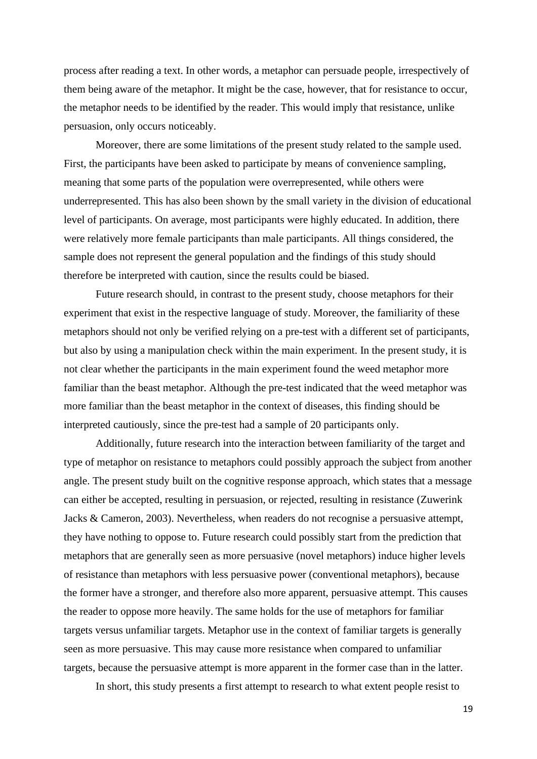process after reading a text. In other words, a metaphor can persuade people, irrespectively of them being aware of the metaphor. It might be the case, however, that for resistance to occur, the metaphor needs to be identified by the reader. This would imply that resistance, unlike persuasion, only occurs noticeably.

Moreover, there are some limitations of the present study related to the sample used. First, the participants have been asked to participate by means of convenience sampling, meaning that some parts of the population were overrepresented, while others were underrepresented. This has also been shown by the small variety in the division of educational level of participants. On average, most participants were highly educated. In addition, there were relatively more female participants than male participants. All things considered, the sample does not represent the general population and the findings of this study should therefore be interpreted with caution, since the results could be biased.

Future research should, in contrast to the present study, choose metaphors for their experiment that exist in the respective language of study. Moreover, the familiarity of these metaphors should not only be verified relying on a pre-test with a different set of participants, but also by using a manipulation check within the main experiment. In the present study, it is not clear whether the participants in the main experiment found the weed metaphor more familiar than the beast metaphor. Although the pre-test indicated that the weed metaphor was more familiar than the beast metaphor in the context of diseases, this finding should be interpreted cautiously, since the pre-test had a sample of 20 participants only.

Additionally, future research into the interaction between familiarity of the target and type of metaphor on resistance to metaphors could possibly approach the subject from another angle. The present study built on the cognitive response approach, which states that a message can either be accepted, resulting in persuasion, or rejected, resulting in resistance (Zuwerink Jacks & Cameron, 2003). Nevertheless, when readers do not recognise a persuasive attempt, they have nothing to oppose to. Future research could possibly start from the prediction that metaphors that are generally seen as more persuasive (novel metaphors) induce higher levels of resistance than metaphors with less persuasive power (conventional metaphors), because the former have a stronger, and therefore also more apparent, persuasive attempt. This causes the reader to oppose more heavily. The same holds for the use of metaphors for familiar targets versus unfamiliar targets. Metaphor use in the context of familiar targets is generally seen as more persuasive. This may cause more resistance when compared to unfamiliar targets, because the persuasive attempt is more apparent in the former case than in the latter.

In short, this study presents a first attempt to research to what extent people resist to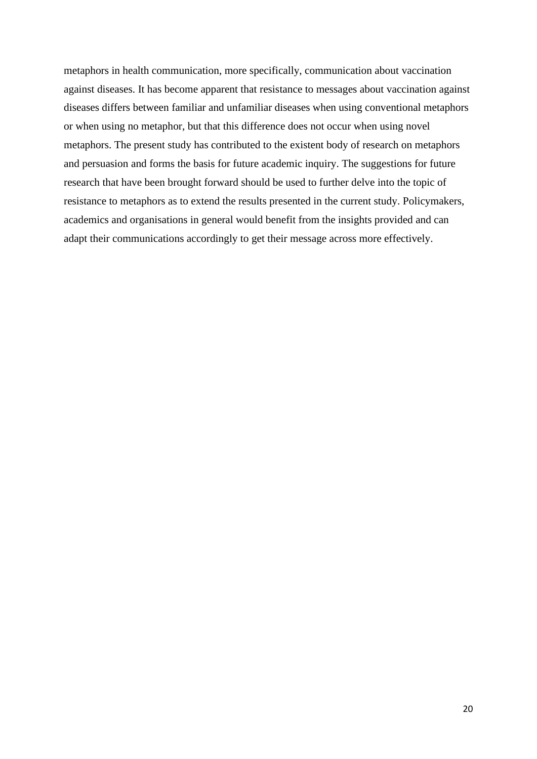metaphors in health communication, more specifically, communication about vaccination against diseases. It has become apparent that resistance to messages about vaccination against diseases differs between familiar and unfamiliar diseases when using conventional metaphors or when using no metaphor, but that this difference does not occur when using novel metaphors. The present study has contributed to the existent body of research on metaphors and persuasion and forms the basis for future academic inquiry. The suggestions for future research that have been brought forward should be used to further delve into the topic of resistance to metaphors as to extend the results presented in the current study. Policymakers, academics and organisations in general would benefit from the insights provided and can adapt their communications accordingly to get their message across more effectively.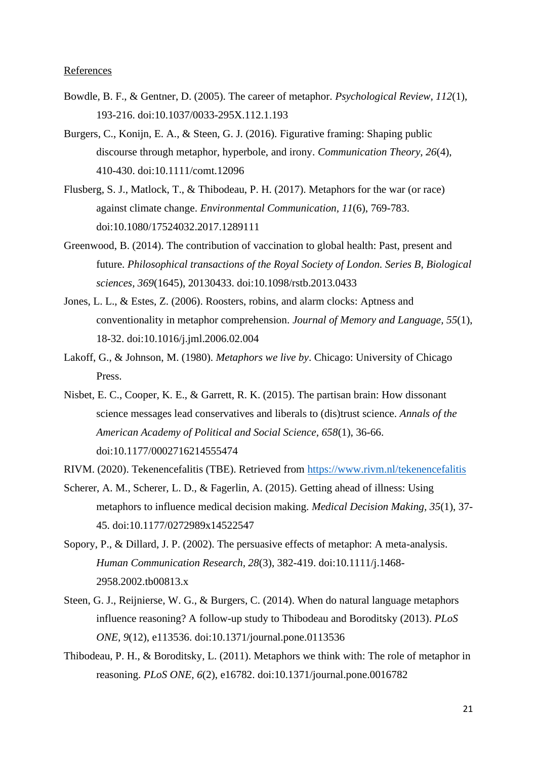### References

- Bowdle, B. F., & Gentner, D. (2005). The career of metaphor. *Psychological Review, 112*(1), 193-216. doi:10.1037/0033-295X.112.1.193
- Burgers, C., Konijn, E. A., & Steen, G. J. (2016). Figurative framing: Shaping public discourse through metaphor, hyperbole, and irony. *Communication Theory, 26*(4), 410-430. doi:10.1111/comt.12096
- Flusberg, S. J., Matlock, T., & Thibodeau, P. H. (2017). Metaphors for the war (or race) against climate change. *Environmental Communication, 11*(6), 769-783. doi:10.1080/17524032.2017.1289111
- Greenwood, B. (2014). The contribution of vaccination to global health: Past, present and future. *Philosophical transactions of the Royal Society of London. Series B, Biological sciences, 369*(1645), 20130433. doi:10.1098/rstb.2013.0433
- Jones, L. L., & Estes, Z. (2006). Roosters, robins, and alarm clocks: Aptness and conventionality in metaphor comprehension. *Journal of Memory and Language, 55*(1), 18-32. doi:10.1016/j.jml.2006.02.004
- Lakoff, G., & Johnson, M. (1980). *Metaphors we live by*. Chicago: University of Chicago Press.
- Nisbet, E. C., Cooper, K. E., & Garrett, R. K. (2015). The partisan brain: How dissonant science messages lead conservatives and liberals to (dis)trust science. *Annals of the American Academy of Political and Social Science, 658*(1), 36-66. doi:10.1177/0002716214555474
- RIVM. (2020). Tekenencefalitis (TBE). Retrieved from<https://www.rivm.nl/tekenencefalitis>
- Scherer, A. M., Scherer, L. D., & Fagerlin, A. (2015). Getting ahead of illness: Using metaphors to influence medical decision making. *Medical Decision Making, 35*(1), 37- 45. doi:10.1177/0272989x14522547
- Sopory, P., & Dillard, J. P. (2002). The persuasive effects of metaphor: A meta-analysis. *Human Communication Research, 28*(3), 382-419. doi:10.1111/j.1468- 2958.2002.tb00813.x
- Steen, G. J., Reijnierse, W. G., & Burgers, C. (2014). When do natural language metaphors influence reasoning? A follow-up study to Thibodeau and Boroditsky (2013). *PLoS ONE, 9*(12), e113536. doi:10.1371/journal.pone.0113536
- Thibodeau, P. H., & Boroditsky, L. (2011). Metaphors we think with: The role of metaphor in reasoning. *PLoS ONE, 6*(2), e16782. doi:10.1371/journal.pone.0016782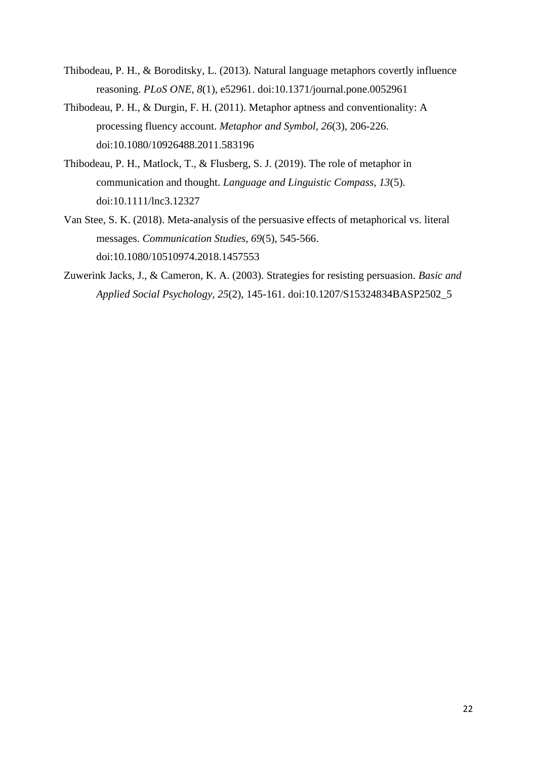- Thibodeau, P. H., & Boroditsky, L. (2013). Natural language metaphors covertly influence reasoning. *PLoS ONE, 8*(1), e52961. doi:10.1371/journal.pone.0052961
- Thibodeau, P. H., & Durgin, F. H. (2011). Metaphor aptness and conventionality: A processing fluency account. *Metaphor and Symbol, 26*(3), 206-226. doi:10.1080/10926488.2011.583196
- Thibodeau, P. H., Matlock, T., & Flusberg, S. J. (2019). The role of metaphor in communication and thought. *Language and Linguistic Compass, 13*(5). doi:10.1111/lnc3.12327
- Van Stee, S. K. (2018). Meta-analysis of the persuasive effects of metaphorical vs. literal messages. *Communication Studies, 69*(5), 545-566. doi:10.1080/10510974.2018.1457553
- Zuwerink Jacks, J., & Cameron, K. A. (2003). Strategies for resisting persuasion. *Basic and Applied Social Psychology, 25*(2), 145-161. doi:10.1207/S15324834BASP2502\_5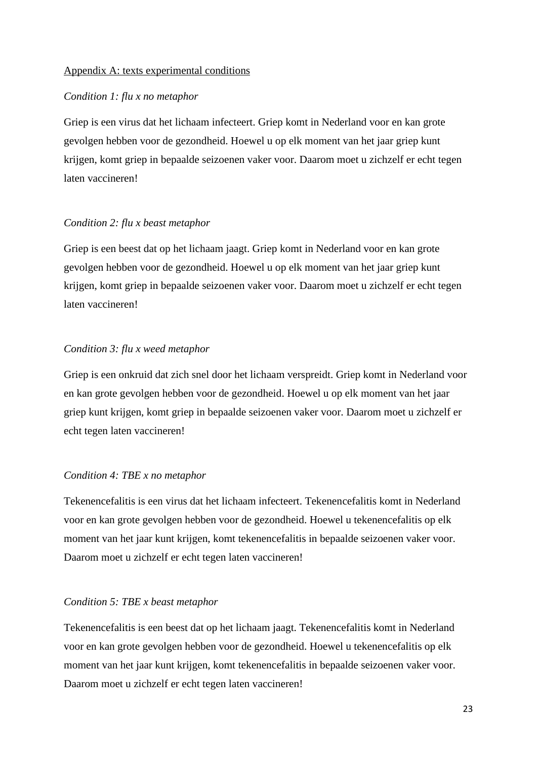# Appendix A: texts experimental conditions

#### *Condition 1: flu x no metaphor*

Griep is een virus dat het lichaam infecteert. Griep komt in Nederland voor en kan grote gevolgen hebben voor de gezondheid. Hoewel u op elk moment van het jaar griep kunt krijgen, komt griep in bepaalde seizoenen vaker voor. Daarom moet u zichzelf er echt tegen laten vaccineren!

# *Condition 2: flu x beast metaphor*

Griep is een beest dat op het lichaam jaagt. Griep komt in Nederland voor en kan grote gevolgen hebben voor de gezondheid. Hoewel u op elk moment van het jaar griep kunt krijgen, komt griep in bepaalde seizoenen vaker voor. Daarom moet u zichzelf er echt tegen laten vaccineren!

# *Condition 3: flu x weed metaphor*

Griep is een onkruid dat zich snel door het lichaam verspreidt. Griep komt in Nederland voor en kan grote gevolgen hebben voor de gezondheid. Hoewel u op elk moment van het jaar griep kunt krijgen, komt griep in bepaalde seizoenen vaker voor. Daarom moet u zichzelf er echt tegen laten vaccineren!

#### *Condition 4: TBE x no metaphor*

Tekenencefalitis is een virus dat het lichaam infecteert. Tekenencefalitis komt in Nederland voor en kan grote gevolgen hebben voor de gezondheid. Hoewel u tekenencefalitis op elk moment van het jaar kunt krijgen, komt tekenencefalitis in bepaalde seizoenen vaker voor. Daarom moet u zichzelf er echt tegen laten vaccineren!

#### *Condition 5: TBE x beast metaphor*

Tekenencefalitis is een beest dat op het lichaam jaagt. Tekenencefalitis komt in Nederland voor en kan grote gevolgen hebben voor de gezondheid. Hoewel u tekenencefalitis op elk moment van het jaar kunt krijgen, komt tekenencefalitis in bepaalde seizoenen vaker voor. Daarom moet u zichzelf er echt tegen laten vaccineren!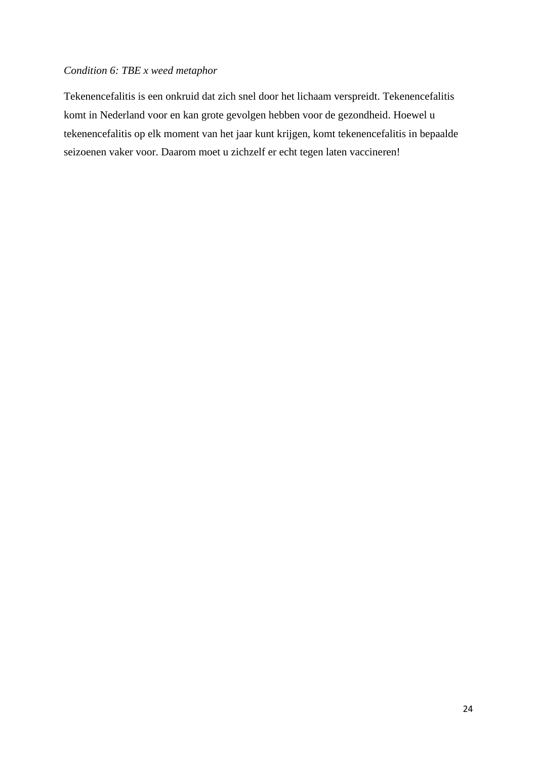# *Condition 6: TBE x weed metaphor*

Tekenencefalitis is een onkruid dat zich snel door het lichaam verspreidt. Tekenencefalitis komt in Nederland voor en kan grote gevolgen hebben voor de gezondheid. Hoewel u tekenencefalitis op elk moment van het jaar kunt krijgen, komt tekenencefalitis in bepaalde seizoenen vaker voor. Daarom moet u zichzelf er echt tegen laten vaccineren!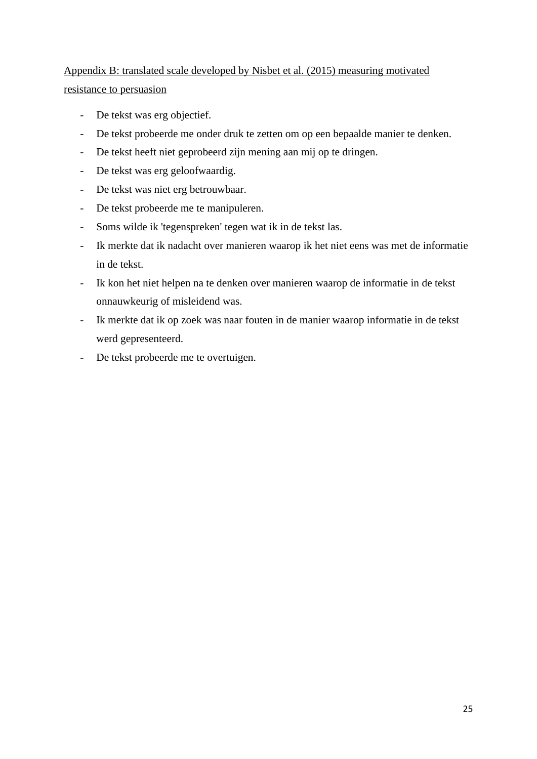# Appendix B: translated scale developed by Nisbet et al. (2015) measuring motivated resistance to persuasion

- De tekst was erg objectief.
- De tekst probeerde me onder druk te zetten om op een bepaalde manier te denken.
- De tekst heeft niet geprobeerd zijn mening aan mij op te dringen.
- De tekst was erg geloofwaardig.
- De tekst was niet erg betrouwbaar.
- De tekst probeerde me te manipuleren.
- Soms wilde ik 'tegenspreken' tegen wat ik in de tekst las.
- Ik merkte dat ik nadacht over manieren waarop ik het niet eens was met de informatie in de tekst.
- Ik kon het niet helpen na te denken over manieren waarop de informatie in de tekst onnauwkeurig of misleidend was.
- Ik merkte dat ik op zoek was naar fouten in de manier waarop informatie in de tekst werd gepresenteerd.
- De tekst probeerde me te overtuigen.